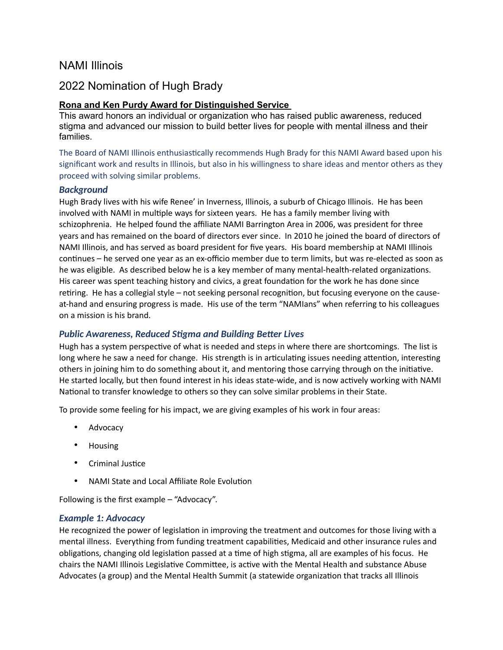# NAMI Illinois

# 2022 Nomination of Hugh Brady

# **Rona and Ken Purdy Award for Distinguished Service**

This award honors an individual or organization who has raised public awareness, reduced stigma and advanced our mission to build better lives for people with mental illness and their families.

The Board of NAMI Illinois enthusiastically recommends Hugh Brady for this NAMI Award based upon his significant work and results in Illinois, but also in his willingness to share ideas and mentor others as they proceed with solving similar problems.

## *Background*

Hugh Brady lives with his wife Renee' in Inverness, Illinois, a suburb of Chicago Illinois. He has been involved with NAMI in multiple ways for sixteen years. He has a family member living with schizophrenia. He helped found the affiliate NAMI Barrington Area in 2006, was president for three years and has remained on the board of directors ever since. In 2010 he joined the board of directors of NAMI Illinois, and has served as board president for five years. His board membership at NAMI Illinois continues – he served one year as an ex-officio member due to term limits, but was re-elected as soon as he was eligible. As described below he is a key member of many mental-health-related organizations. His career was spent teaching history and civics, a great foundation for the work he has done since retiring. He has a collegial style – not seeking personal recognition, but focusing everyone on the causeat-hand and ensuring progress is made. His use of the term "NAMIans" when referring to his colleagues on a mission is his brand.

# *Public Awareness, Reduced Stigma and Building Better Lives*

Hugh has a system perspective of what is needed and steps in where there are shortcomings. The list is long where he saw a need for change. His strength is in articulating issues needing attention, interesting others in joining him to do something about it, and mentoring those carrying through on the initiative. He started locally, but then found interest in his ideas state-wide, and is now actively working with NAMI National to transfer knowledge to others so they can solve similar problems in their State.

To provide some feeling for his impact, we are giving examples of his work in four areas:

- Advocacy
- Housing
- Criminal Justice
- NAMI State and Local Affiliate Role Evolution

Following is the first example – "Advocacy".

## *Example 1: Advocacy*

He recognized the power of legislation in improving the treatment and outcomes for those living with a mental illness. Everything from funding treatment capabilities, Medicaid and other insurance rules and obligations, changing old legislation passed at a time of high stigma, all are examples of his focus. He chairs the NAMI Illinois Legislative Committee, is active with the Mental Health and substance Abuse Advocates (a group) and the Mental Health Summit (a statewide organization that tracks all Illinois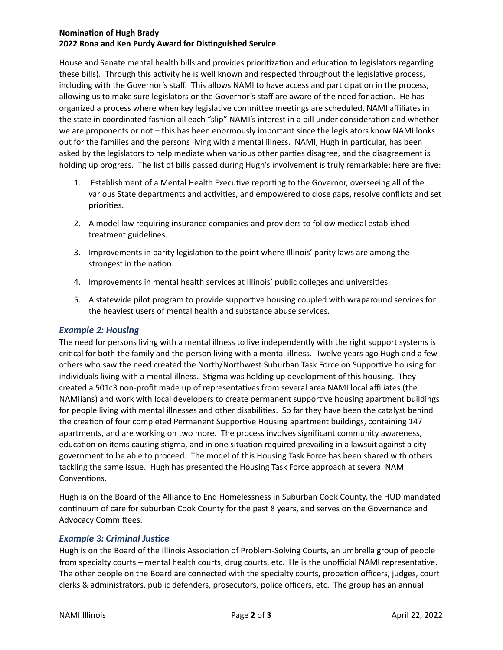## **Nomination of Hugh Brady 2022 Rona and Ken Purdy Award for Distinguished Service**

House and Senate mental health bills and provides prioritization and education to legislators regarding these bills). Through this activity he is well known and respected throughout the legislative process, including with the Governor's staff. This allows NAMI to have access and participation in the process, allowing us to make sure legislators or the Governor's staff are aware of the need for action. He has organized a process where when key legislative committee meetings are scheduled, NAMI affiliates in the state in coordinated fashion all each "slip" NAMI's interest in a bill under consideration and whether we are proponents or not – this has been enormously important since the legislators know NAMI looks out for the families and the persons living with a mental illness. NAMI, Hugh in particular, has been asked by the legislators to help mediate when various other parties disagree, and the disagreement is holding up progress. The list of bills passed during Hugh's involvement is truly remarkable: here are five:

- 1. Establishment of a Mental Health Executive reporting to the Governor, overseeing all of the various State departments and activities, and empowered to close gaps, resolve conflicts and set priorities.
- 2. A model law requiring insurance companies and providers to follow medical established treatment guidelines.
- 3. Improvements in parity legislation to the point where Illinois' parity laws are among the strongest in the nation.
- 4. Improvements in mental health services at Illinois' public colleges and universities.
- 5. A statewide pilot program to provide supportive housing coupled with wraparound services for the heaviest users of mental health and substance abuse services.

# *Example 2: Housing*

The need for persons living with a mental illness to live independently with the right support systems is critical for both the family and the person living with a mental illness. Twelve years ago Hugh and a few others who saw the need created the North/Northwest Suburban Task Force on Supportive housing for individuals living with a mental illness. Stigma was holding up development of this housing. They created a 501c3 non-profit made up of representatives from several area NAMI local affiliates (the NAMIians) and work with local developers to create permanent supportive housing apartment buildings for people living with mental illnesses and other disabilities. So far they have been the catalyst behind the creation of four completed Permanent Supportive Housing apartment buildings, containing 147 apartments, and are working on two more. The process involves significant community awareness, education on items causing stigma, and in one situation required prevailing in a lawsuit against a city government to be able to proceed. The model of this Housing Task Force has been shared with others tackling the same issue. Hugh has presented the Housing Task Force approach at several NAMI Conventions.

Hugh is on the Board of the Alliance to End Homelessness in Suburban Cook County, the HUD mandated continuum of care for suburban Cook County for the past 8 years, and serves on the Governance and Advocacy Committees.

# *Example 3: Criminal Justice*

Hugh is on the Board of the Illinois Association of Problem-Solving Courts, an umbrella group of people from specialty courts – mental health courts, drug courts, etc. He is the unofficial NAMI representative. The other people on the Board are connected with the specialty courts, probation officers, judges, court clerks & administrators, public defenders, prosecutors, police officers, etc. The group has an annual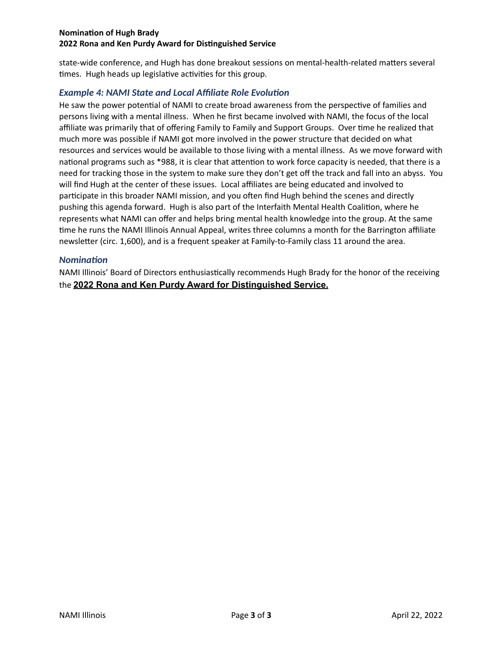#### **Nomination of Hugh Brady 2022 Rona and Ken Purdy Award for Distinguished Service**

state-wide conference, and Hugh has done breakout sessions on mental-health-related matters several times. Hugh heads up legislative activities for this group.

# *Example 4: NAMI State and Local Affiliate Role Evolution*

He saw the power potential of NAMI to create broad awareness from the perspective of families and persons living with a mental illness. When he first became involved with NAMI, the focus of the local affiliate was primarily that of offering Family to Family and Support Groups. Over time he realized that much more was possible if NAMI got more involved in the power structure that decided on what resources and services would be available to those living with a mental illness. As we move forward with national programs such as \*988, it is clear that attention to work force capacity is needed, that there is a need for tracking those in the system to make sure they don't get off the track and fall into an abyss. You will find Hugh at the center of these issues. Local affiliates are being educated and involved to participate in this broader NAMI mission, and you often find Hugh behind the scenes and directly pushing this agenda forward. Hugh is also part of the Interfaith Mental Health Coalition, where he represents what NAMI can offer and helps bring mental health knowledge into the group. At the same time he runs the NAMI Illinois Annual Appeal, writes three columns a month for the Barrington affiliate newsletter (circ. 1,600), and is a frequent speaker at Family-to-Family class 11 around the area.

## *Nomination*

NAMI Illinois' Board of Directors enthusiastically recommends Hugh Brady for the honor of the receiving the **2022 Rona and Ken Purdy Award for Distinguished Service.**